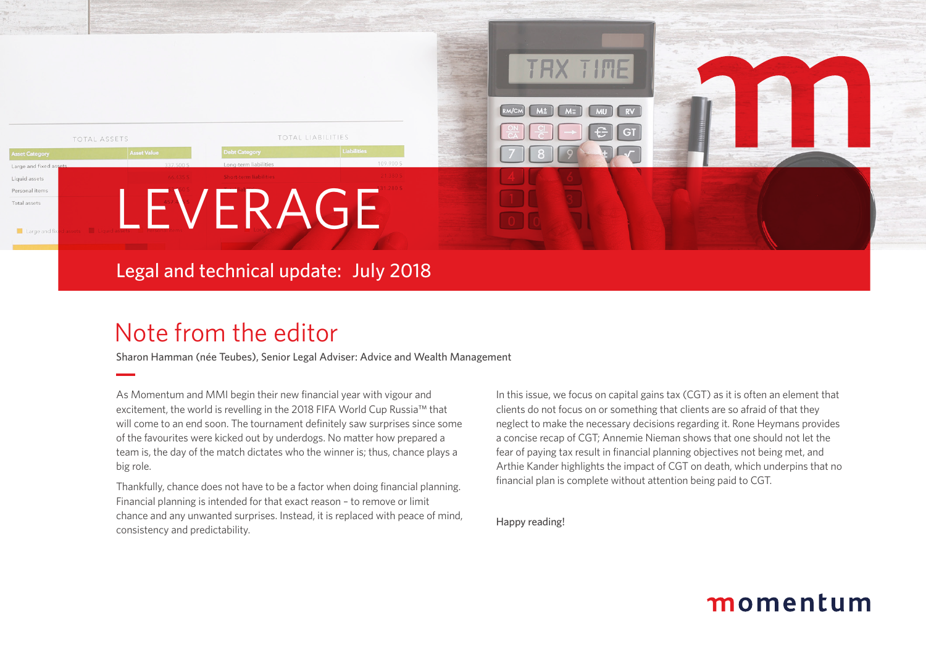

### Legal and technical update: July 2018

## Note from the editor

Sharon Hamman (née Teubes), Senior Legal Adviser: Advice and Wealth Management

As Momentum and MMI begin their new financial year with vigour and excitement, the world is revelling in the 2018 FIFA World Cup Russia™ that will come to an end soon. The tournament definitely saw surprises since some of the favourites were kicked out by underdogs. No matter how prepared a team is, the day of the match dictates who the winner is; thus, chance plays a big role.

Thankfully, chance does not have to be a factor when doing financial planning. Financial planning is intended for that exact reason – to remove or limit chance and any unwanted surprises. Instead, it is replaced with peace of mind, consistency and predictability.

In this issue, we focus on capital gains tax (CGT) as it is often an element that clients do not focus on or something that clients are so afraid of that they neglect to make the necessary decisions regarding it. Rone Heymans provides a concise recap of CGT; Annemie Nieman shows that one should not let the fear of paying tax result in financial planning objectives not being met, and Arthie Kander highlights the impact of CGT on death, which underpins that no financial plan is complete without attention being paid to CGT.

Happy reading!

### momentum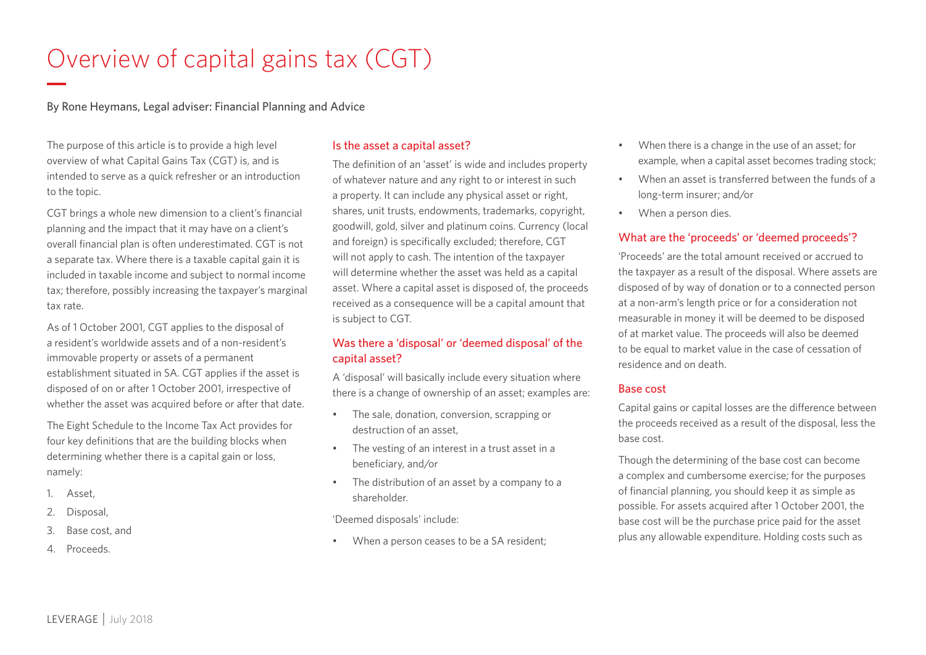# Overview of capital gains tax (CGT)

By Rone Heymans, Legal adviser: Financial Planning and Advice

The purpose of this article is to provide a high level overview of what Capital Gains Tax (CGT) is, and is intended to serve as a quick refresher or an introduction to the topic.

CGT brings a whole new dimension to a client's financial planning and the impact that it may have on a client's overall financial plan is often underestimated. CGT is not a separate tax. Where there is a taxable capital gain it is included in taxable income and subject to normal income tax; therefore, possibly increasing the taxpayer's marginal tax rate.

As of 1 October 2001, CGT applies to the disposal of a resident's worldwide assets and of a non-resident's immovable property or assets of a permanent establishment situated in SA. CGT applies if the asset is disposed of on or after 1 October 2001, irrespective of whether the asset was acquired before or after that date.

The Eight Schedule to the Income Tax Act provides for four key definitions that are the building blocks when determining whether there is a capital gain or loss, namely:

- 1. Asset,
- 2. Disposal,
- 3. Base cost, and
- 4. Proceeds.

#### Is the asset a capital asset?

The definition of an 'asset' is wide and includes property of whatever nature and any right to or interest in such a property. It can include any physical asset or right, shares, unit trusts, endowments, trademarks, copyright, goodwill, gold, silver and platinum coins. Currency (local and foreign) is specifically excluded; therefore, CGT will not apply to cash. The intention of the taxpayer will determine whether the asset was held as a capital asset. Where a capital asset is disposed of, the proceeds received as a consequence will be a capital amount that is subject to CGT.

#### Was there a 'disposal' or 'deemed disposal' of the capital asset?

A 'disposal' will basically include every situation where there is a change of ownership of an asset; examples are:

- The sale, donation, conversion, scrapping or destruction of an asset,
- The vesting of an interest in a trust asset in a beneficiary, and/or
- The distribution of an asset by a company to a shareholder.

'Deemed disposals' include:

• When a person ceases to be a SA resident;

- When there is a change in the use of an asset; for example, when a capital asset becomes trading stock;
- When an asset is transferred between the funds of a long-term insurer; and/or
- When a person dies.

#### What are the 'proceeds' or 'deemed proceeds'?

'Proceeds' are the total amount received or accrued to the taxpayer as a result of the disposal. Where assets are disposed of by way of donation or to a connected person at a non-arm's length price or for a consideration not measurable in money it will be deemed to be disposed of at market value. The proceeds will also be deemed to be equal to market value in the case of cessation of residence and on death.

#### Base cost

Capital gains or capital losses are the difference between the proceeds received as a result of the disposal, less the base cost.

Though the determining of the base cost can become a complex and cumbersome exercise; for the purposes of financial planning, you should keep it as simple as possible. For assets acquired after 1 October 2001, the base cost will be the purchase price paid for the asset plus any allowable expenditure. Holding costs such as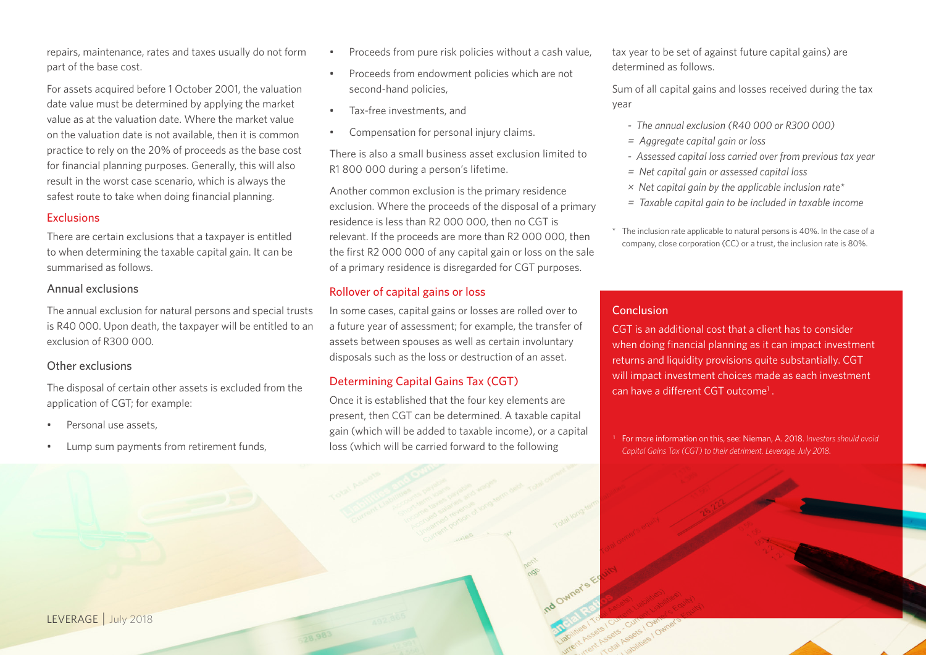repairs, maintenance, rates and taxes usually do not form part of the base cost.

For assets acquired before 1 October 2001, the valuation date value must be determined by applying the market value as at the valuation date. Where the market value on the valuation date is not available, then it is common practice to rely on the 20% of proceeds as the base cost for financial planning purposes. Generally, this will also result in the worst case scenario, which is always the safest route to take when doing financial planning.

#### **Exclusions**

There are certain exclusions that a taxpayer is entitled to when determining the taxable capital gain. It can be summarised as follows.

#### Annual exclusions

The annual exclusion for natural persons and special trusts is R40 000. Upon death, the taxpayer will be entitled to an exclusion of R300 000.

#### Other exclusions

The disposal of certain other assets is excluded from the application of CGT; for example:

- Personal use assets.
- Lump sum payments from retirement funds,
- Proceeds from pure risk policies without a cash value,
- Proceeds from endowment policies which are not second-hand policies,
- Tax-free investments, and
- Compensation for personal injury claims.

There is also a small business asset exclusion limited to R1 800 000 during a person's lifetime.

Another common exclusion is the primary residence exclusion. Where the proceeds of the disposal of a primary residence is less than R2 000 000, then no CGT is relevant. If the proceeds are more than R2 000 000, then the first R2 000 000 of any capital gain or loss on the sale of a primary residence is disregarded for CGT purposes.

#### Rollover of capital gains or loss

In some cases, capital gains or losses are rolled over to a future year of assessment; for example, the transfer of assets between spouses as well as certain involuntary disposals such as the loss or destruction of an asset.

#### Determining Capital Gains Tax (CGT)

Once it is established that the four key elements are present, then CGT can be determined. A taxable capital gain (which will be added to taxable income), or a capital loss (which will be carried forward to the following

tax year to be set of against future capital gains) are determined as follows.

Sum of all capital gains and losses received during the tax year

- *The annual exclusion (R40 000 or R300 000)*
- *= Aggregate capital gain or loss*
- *Assessed capital loss carried over from previous tax year*
- *= Net capital gain or assessed capital loss*
- *× Net capital gain by the applicable inclusion rate\**
- *= Taxable capital gain to be included in taxable income*

The inclusion rate applicable to natural persons is 40%. In the case of a company, close corporation (CC) or a trust, the inclusion rate is 80%.

#### Conclusion

CGT is an additional cost that a client has to consider when doing financial planning as it can impact investment returns and liquidity provisions quite substantially. CGT will impact investment choices made as each investment can have a different CGT outcome<sup>1</sup>.

<sup>1</sup> For more information on this, see: Nieman, A. 2018. *Investors should avoid Capital Gains Tax (CGT) to their detriment. Leverage, July 2018*.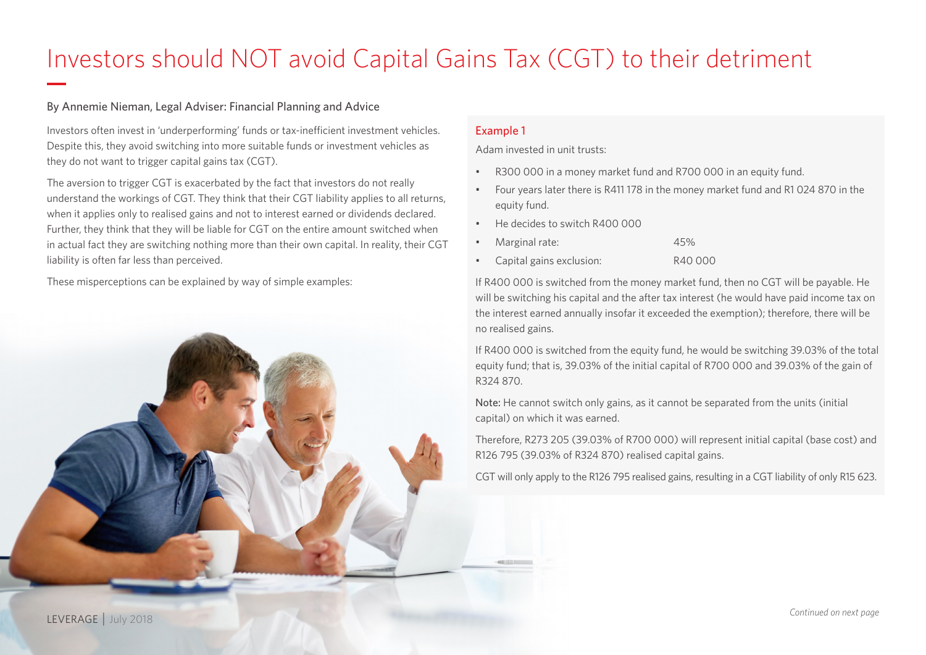# Investors should NOT avoid Capital Gains Tax (CGT) to their detriment

#### By Annemie Nieman, Legal Adviser: Financial Planning and Advice

Investors often invest in 'underperforming' funds or tax-inefficient investment vehicles. Despite this, they avoid switching into more suitable funds or investment vehicles as they do not want to trigger capital gains tax (CGT).

The aversion to trigger CGT is exacerbated by the fact that investors do not really understand the workings of CGT. They think that their CGT liability applies to all returns, when it applies only to realised gains and not to interest earned or dividends declared. Further, they think that they will be liable for CGT on the entire amount switched when in actual fact they are switching nothing more than their own capital. In reality, their CGT liability is often far less than perceived.

These misperceptions can be explained by way of simple examples:



#### Example 1

Adam invested in unit trusts:

- R300 000 in a money market fund and R700 000 in an equity fund.
- Four years later there is R411 178 in the money market fund and R1 024 870 in the equity fund.
- He decides to switch R400,000

| Marginal rate: | 45% |
|----------------|-----|
|                |     |

• Capital gains exclusion: R40 000

If R400 000 is switched from the money market fund, then no CGT will be payable. He will be switching his capital and the after tax interest (he would have paid income tax on the interest earned annually insofar it exceeded the exemption); therefore, there will be no realised gains.

If R400 000 is switched from the equity fund, he would be switching 39.03% of the total equity fund; that is, 39.03% of the initial capital of R700 000 and 39.03% of the gain of R324 870.

Note: He cannot switch only gains, as it cannot be separated from the units (initial capital) on which it was earned.

Therefore, R273 205 (39.03% of R700 000) will represent initial capital (base cost) and R126 795 (39.03% of R324 870) realised capital gains.

CGT will only apply to the R126 795 realised gains, resulting in a CGT liability of only R15 623.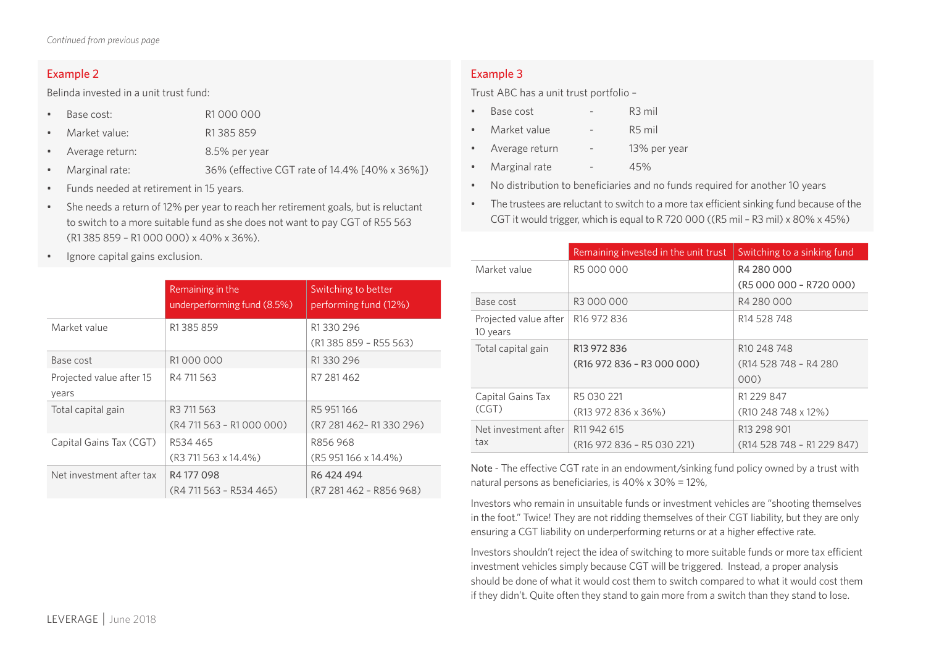#### Example 2

Belinda invested in a unit trust fund:

- Base cost: R1 000 000
- Market value: R1 385 859
- Average return: 8.5% per year
- Marginal rate: 36% (effective CGT rate of 14.4% [40% x 36%])
- Funds needed at retirement in 15 years.
- She needs a return of 12% per year to reach her retirement goals, but is reluctant to switch to a more suitable fund as she does not want to pay CGT of R55 563 (R1 385 859 – R1 000 000) x 40% x 36%).
- Ignore capital gains exclusion.

|                                   | Remaining in the<br>underperforming fund (8.5%) | Switching to better<br>performing fund (12%) |
|-----------------------------------|-------------------------------------------------|----------------------------------------------|
| Market value                      | R1385859                                        | R1330296<br>(R1 385 859 - R55 563)           |
| Base cost                         | R1000000                                        | R1330296                                     |
| Projected value after 15<br>years | R4 711 563                                      | R7 281 462                                   |
| Total capital gain                | R3 711 563<br>$(R4 711 563 - R1 000 000)$       | R5951166<br>(R7 281 462 - R1 330 296)        |
| Capital Gains Tax (CGT)           | R534 465<br>(R3 711 563 x 14.4%)                | R856968<br>$(R5951166 \times 14.4\%)$        |
| Net investment after tax          | R4177098<br>(R4 711 563 - R534 465)             | R6424494<br>(R7 281 462 - R856 968)          |

### Example 3

Trust ABC has a unit trust portfolio –

- Base cost R3 mil
- Market value R5 mil
- Average return 13% per year
- Marginal rate 45%
- No distribution to beneficiaries and no funds required for another 10 years
- The trustees are reluctant to switch to a more tax efficient sinking fund because of the CGT it would trigger, which is equal to R 720 000 ((R5 mil – R3 mil) x 80% x 45%)

|                                   | Remaining invested in the unit trust               | Switching to a sinking fund     |
|-----------------------------------|----------------------------------------------------|---------------------------------|
| Market value                      | R5 000 000                                         | R4 280 000                      |
|                                   |                                                    | (R5 000 000 - R720 000)         |
| Base cost                         | R3 000 000                                         | R4 280 000                      |
| Projected value after<br>10 years | R <sub>16</sub> 972 836                            | R <sub>14</sub> 528 748         |
| Total capital gain                | R <sub>13</sub> 972 836                            | R <sub>10</sub> 248 748         |
|                                   | (R16 972 836 - R3 000 000)                         | (R14 528 748 - R4 280)          |
|                                   |                                                    | 000)                            |
| Capital Gains Tax                 | R5 030 221                                         | R1 229 847                      |
| (CGT)                             | (R13 972 836 x 36%)                                | (R <sub>10</sub> 248 748 x 12%) |
| Net investment after              | R11942615                                          | R13 298 901                     |
| tax                               | (R <sub>16</sub> 972 836 - R <sub>5</sub> 030 221) | (R14 528 748 - R1 229 847)      |

Note - The effective CGT rate in an endowment/sinking fund policy owned by a trust with natural persons as beneficiaries, is 40% x 30% = 12%,

Investors who remain in unsuitable funds or investment vehicles are "shooting themselves in the foot." Twice! They are not ridding themselves of their CGT liability, but they are only ensuring a CGT liability on underperforming returns or at a higher effective rate.

Investors shouldn't reject the idea of switching to more suitable funds or more tax efficient investment vehicles simply because CGT will be triggered. Instead, a proper analysis should be done of what it would cost them to switch compared to what it would cost them if they didn't. Quite often they stand to gain more from a switch than they stand to lose.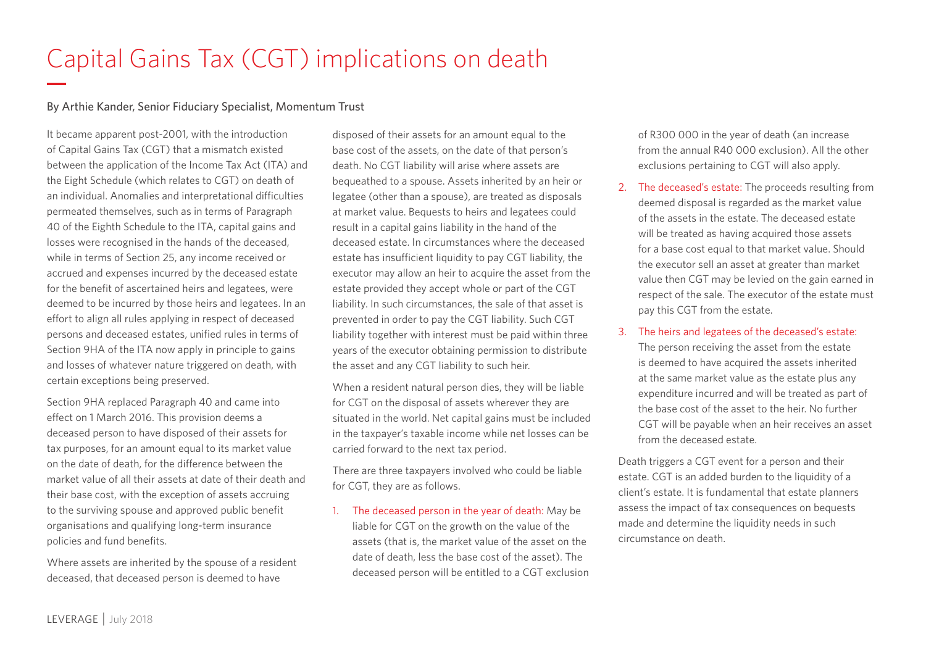# Capital Gains Tax (CGT) implications on death

#### By Arthie Kander, Senior Fiduciary Specialist, Momentum Trust

It became apparent post-2001, with the introduction of Capital Gains Tax (CGT) that a mismatch existed between the application of the Income Tax Act (ITA) and the Eight Schedule (which relates to CGT) on death of an individual. Anomalies and interpretational difficulties permeated themselves, such as in terms of Paragraph 40 of the Eighth Schedule to the ITA, capital gains and losses were recognised in the hands of the deceased, while in terms of Section 25, any income received or accrued and expenses incurred by the deceased estate for the benefit of ascertained heirs and legatees, were deemed to be incurred by those heirs and legatees. In an effort to align all rules applying in respect of deceased persons and deceased estates, unified rules in terms of Section 9HA of the ITA now apply in principle to gains and losses of whatever nature triggered on death, with certain exceptions being preserved.

Section 9HA replaced Paragraph 40 and came into effect on 1 March 2016. This provision deems a deceased person to have disposed of their assets for tax purposes, for an amount equal to its market value on the date of death, for the difference between the market value of all their assets at date of their death and their base cost, with the exception of assets accruing to the surviving spouse and approved public benefit organisations and qualifying long-term insurance policies and fund benefits.

Where assets are inherited by the spouse of a resident deceased, that deceased person is deemed to have

disposed of their assets for an amount equal to the base cost of the assets, on the date of that person's death. No CGT liability will arise where assets are bequeathed to a spouse. Assets inherited by an heir or legatee (other than a spouse), are treated as disposals at market value. Bequests to heirs and legatees could result in a capital gains liability in the hand of the deceased estate. In circumstances where the deceased estate has insufficient liquidity to pay CGT liability, the executor may allow an heir to acquire the asset from the estate provided they accept whole or part of the CGT liability. In such circumstances, the sale of that asset is prevented in order to pay the CGT liability. Such CGT liability together with interest must be paid within three years of the executor obtaining permission to distribute the asset and any CGT liability to such heir.

When a resident natural person dies, they will be liable for CGT on the disposal of assets wherever they are situated in the world. Net capital gains must be included in the taxpayer's taxable income while net losses can be carried forward to the next tax period.

There are three taxpayers involved who could be liable for CGT, they are as follows.

1. The deceased person in the year of death: May be liable for CGT on the growth on the value of the assets (that is, the market value of the asset on the date of death, less the base cost of the asset). The deceased person will be entitled to a CGT exclusion of R300 000 in the year of death (an increase from the annual R40 000 exclusion). All the other exclusions pertaining to CGT will also apply.

2. The deceased's estate: The proceeds resulting from deemed disposal is regarded as the market value of the assets in the estate. The deceased estate will be treated as having acquired those assets for a base cost equal to that market value. Should the executor sell an asset at greater than market value then CGT may be levied on the gain earned in respect of the sale. The executor of the estate must pay this CGT from the estate.

#### 3. The heirs and legatees of the deceased's estate:

The person receiving the asset from the estate is deemed to have acquired the assets inherited at the same market value as the estate plus any expenditure incurred and will be treated as part of the base cost of the asset to the heir. No further CGT will be payable when an heir receives an asset from the deceased estate.

Death triggers a CGT event for a person and their estate. CGT is an added burden to the liquidity of a client's estate. It is fundamental that estate planners assess the impact of tax consequences on bequests made and determine the liquidity needs in such circumstance on death.